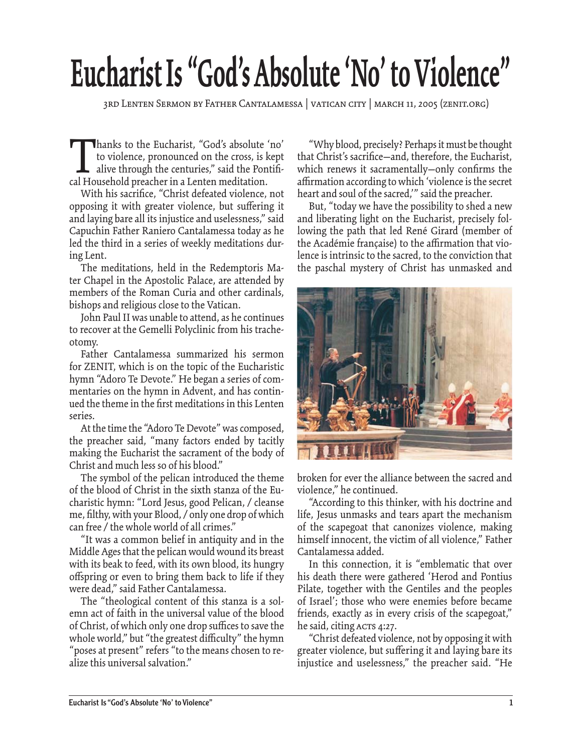## **Eucharist Is "God's Absolute 'No' to Violence"**

3rd Lenten Sermon by Father Cantalamessa | VATICAN CITY | MARCH 11, 2005 (Zenit.org)

Thanks to the Eucharist, "God's absolute 'no'<br>to violence, pronounced on the cross, is kept<br>alive through the centuries," said the Pontifical Household preacher in a Lenten meditation. to violence, pronounced on the cross, is kept alive through the centuries," said the Pontifical Household preacher in a Lenten meditation.

With his sacrifice, "Christ defeated violence, not opposing it with greater violence, but suffering it and laying bare all its injustice and uselessness," said Capuchin Father Raniero Cantalamessa today as he led the third in a series of weekly meditations during Lent.

The meditations, held in the Redemptoris Mater Chapel in the Apostolic Palace, are attended by members of the Roman Curia and other cardinals, bishops and religious close to the Vatican.

John Paul II was unable to attend, as he continues to recover at the Gemelli Polyclinic from his tracheotomy.

Father Cantalamessa summarized his sermon for ZENIT, which is on the topic of the Eucharistic hymn "Adoro Te Devote." He began a series of commentaries on the hymn in Advent, and has continued the theme in the first meditations in this Lenten series.

At the time the "Adoro Te Devote" was composed, the preacher said, "many factors ended by tacitly making the Eucharist the sacrament of the body of Christ and much less so of his blood."

The symbol of the pelican introduced the theme of the blood of Christ in the sixth stanza of the Eucharistic hymn: "Lord Jesus, good Pelican, / cleanse me, filthy, with your Blood, / only one drop of which can free / the whole world of all crimes."

"It was a common belief in antiquity and in the Middle Ages that the pelican would wound its breast with its beak to feed, with its own blood, its hungry offspring or even to bring them back to life if they were dead," said Father Cantalamessa.

The "theological content of this stanza is a solemn act of faith in the universal value of the blood of Christ, of which only one drop suffices to save the whole world," but "the greatest difficulty" the hymn "poses at present" refers "to the means chosen to realize this universal salvation."

"Why blood, precisely? Perhaps it must be thought that Christ's sacrifice—and, therefore, the Eucharist, which renews it sacramentally-only confirms the affirmation according to which 'violence is the secret heart and soul of the sacred,'" said the preacher.

But, "today we have the possibility to shed a new and liberating light on the Eucharist, precisely following the path that led René Girard (member of the Académie française) to the affirmation that violence is intrinsic to the sacred, to the conviction that the paschal mystery of Christ has unmasked and



broken for ever the alliance between the sacred and violence," he continued.

"According to this thinker, with his doctrine and life, Jesus unmasks and tears apart the mechanism of the scapegoat that canonizes violence, making himself innocent, the victim of all violence," Father Cantalamessa added.

In this connection, it is "emblematic that over his death there were gathered 'Herod and Pontius Pilate, together with the Gentiles and the peoples of Israel'; those who were enemies before became friends, exactly as in every crisis of the scapegoat," he said, citing ACTS 4:27.

"Christ defeated violence, not by opposing it with greater violence, but suffering it and laying bare its injustice and uselessness," the preacher said. "He